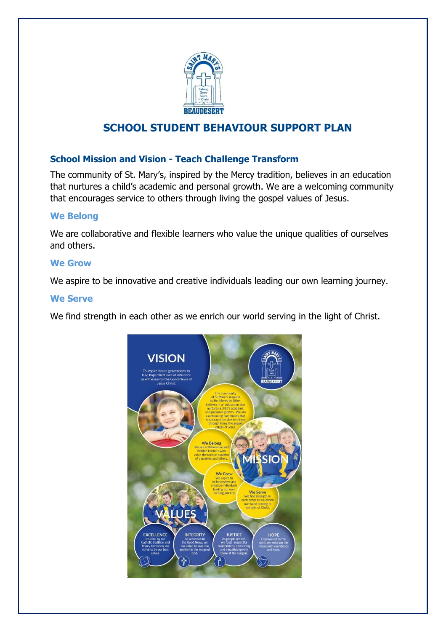

# **SCHOOL STUDENT BEHAVIOUR SUPPORT PLAN**

# **School Mission and Vision - Teach Challenge Transform**

The community of St. Mary's, inspired by the Mercy tradition, believes in an education that nurtures a child's academic and personal growth. We are a welcoming community that encourages service to others through living the gospel values of Jesus.

### **We Belong**

We are collaborative and flexible learners who value the unique qualities of ourselves and others.

### **We Grow**

We aspire to be innovative and creative individuals leading our own learning journey.

#### **We Serve**

We find strength in each other as we enrich our world serving in the light of Christ.

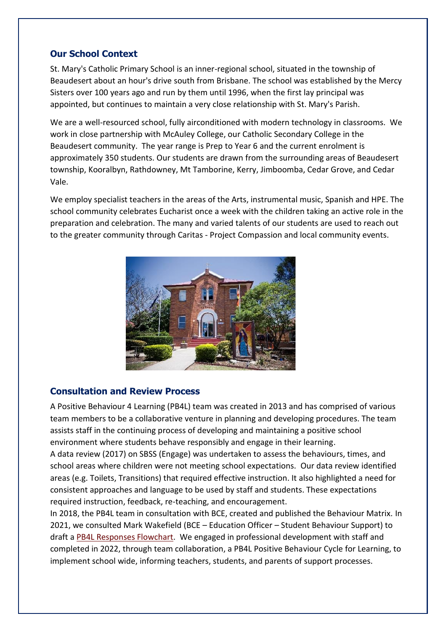# **Our School Context**

St. Mary's Catholic Primary School is an inner-regional school, situated in the township of Beaudesert about an hour's drive south from Brisbane. The school was established by the Mercy Sisters over 100 years ago and run by them until 1996, when the first lay principal was appointed, but continues to maintain a very close relationship with St. Mary's Parish.

We are a well-resourced school, fully airconditioned with modern technology in classrooms. We work in close partnership with McAuley College, our Catholic Secondary College in the Beaudesert community. The year range is Prep to Year 6 and the current enrolment is approximately 350 students. Our students are drawn from the surrounding areas of Beaudesert township, Kooralbyn, Rathdowney, Mt Tamborine, Kerry, Jimboomba, Cedar Grove, and Cedar Vale.

We employ specialist teachers in the areas of the Arts, instrumental music, Spanish and HPE. The school community celebrates Eucharist once a week with the children taking an active role in the preparation and celebration. The many and varied talents of our students are used to reach out to the greater community through Caritas - Project Compassion and local community events.



# **Consultation and Review Process**

A Positive Behaviour 4 Learning (PB4L) team was created in 2013 and has comprised of various team members to be a collaborative venture in planning and developing procedures. The team assists staff in the continuing process of developing and maintaining a positive school environment where students behave responsibly and engage in their learning.

A data review (2017) on SBSS (Engage) was undertaken to assess the behaviours, times, and school areas where children were not meeting school expectations. Our data review identified areas (e.g. Toilets, Transitions) that required effective instruction. It also highlighted a need for consistent approaches and language to be used by staff and students. These expectations required instruction, feedback, re-teaching, and encouragement.

In 2018, the PB4L team in consultation with BCE, created and published the Behaviour Matrix. In 2021, we consulted Mark Wakefield (BCE – Education Officer – Student Behaviour Support) to draft a [PB4L Responses Flowchart.](https://mybcecatholicedu.sharepoint.com/:w:/r/sites/sp-stmarysbeaudesert/staff/_layouts/15/Doc.aspx?sourcedoc=%7BB96CC35F-A275-4C9A-B395-C56ADFBC4ED1%7D&file=St%20Mary%20PB4L%20Tier%201%20SBS%20Responses%20flowchart%20draft.docx&action=default&mobileredirect=true) We engaged in professional development with staff and completed in 2022, through team collaboration, a PB4L Positive Behaviour Cycle for Learning, to implement school wide, informing teachers, students, and parents of support processes.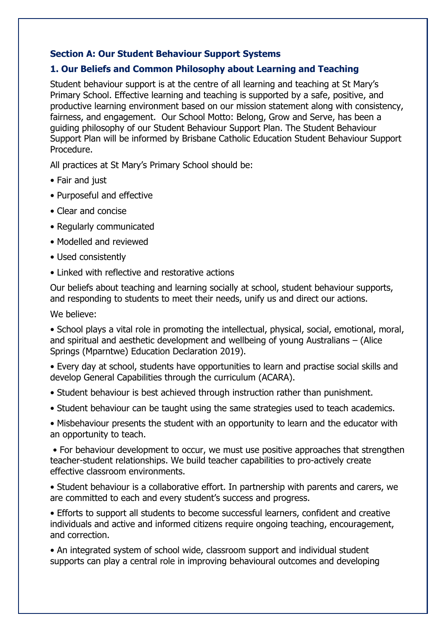# **Section A: Our Student Behaviour Support Systems**

## **1. Our Beliefs and Common Philosophy about Learning and Teaching**

Student behaviour support is at the centre of all learning and teaching at St Mary's Primary School. Effective learning and teaching is supported by a safe, positive, and productive learning environment based on our mission statement along with consistency, fairness, and engagement. Our School Motto: Belong, Grow and Serve, has been a guiding philosophy of our Student Behaviour Support Plan. The Student Behaviour Support Plan will be informed by Brisbane Catholic Education Student Behaviour Support Procedure.

All practices at St Mary's Primary School should be:

- Fair and just
- Purposeful and effective
- Clear and concise
- Regularly communicated
- Modelled and reviewed
- Used consistently
- Linked with reflective and restorative actions

Our beliefs about teaching and learning socially at school, student behaviour supports, and responding to students to meet their needs, unify us and direct our actions.

We believe:

• School plays a vital role in promoting the intellectual, physical, social, emotional, moral, and spiritual and aesthetic development and wellbeing of young Australians – (Alice Springs (Mparntwe) Education Declaration 2019).

• Every day at school, students have opportunities to learn and practise social skills and develop General Capabilities through the curriculum (ACARA).

- Student behaviour is best achieved through instruction rather than punishment.
- Student behaviour can be taught using the same strategies used to teach academics.

• Misbehaviour presents the student with an opportunity to learn and the educator with an opportunity to teach.

• For behaviour development to occur, we must use positive approaches that strengthen teacher-student relationships. We build teacher capabilities to pro-actively create effective classroom environments.

• Student behaviour is a collaborative effort. In partnership with parents and carers, we are committed to each and every student's success and progress.

• Efforts to support all students to become successful learners, confident and creative individuals and active and informed citizens require ongoing teaching, encouragement, and correction.

• An integrated system of school wide, classroom support and individual student supports can play a central role in improving behavioural outcomes and developing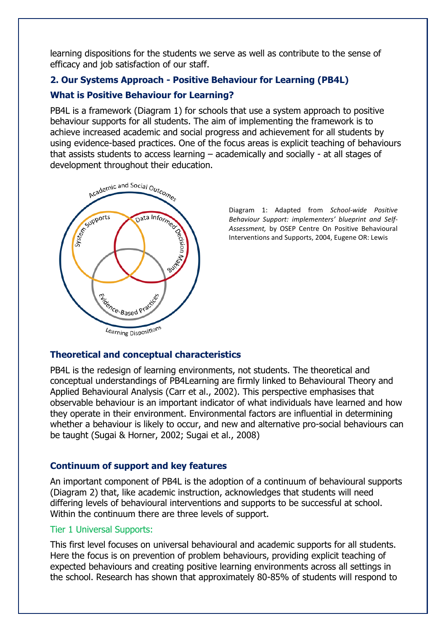learning dispositions for the students we serve as well as contribute to the sense of efficacy and job satisfaction of our staff.

# **2. Our Systems Approach - Positive Behaviour for Learning (PB4L)**

# **What is Positive Behaviour for Learning?**

PB4L is a framework (Diagram 1) for schools that use a system approach to positive behaviour supports for all students. The aim of implementing the framework is to achieve increased academic and social progress and achievement for all students by using evidence-based practices. One of the focus areas is explicit teaching of behaviours that assists students to access learning – academically and socially - at all stages of development throughout their education.



Diagram 1: Adapted from *School-wide Positive Behaviour Support: implementers' blueprint and Self-Assessment,* by OSEP Centre On Positive Behavioural Interventions and Supports, 2004, Eugene OR: Lewis

# **Theoretical and conceptual characteristics**

PB4L is the redesign of learning environments, not students. The theoretical and conceptual understandings of PB4Learning are firmly linked to Behavioural Theory and Applied Behavioural Analysis (Carr et al., 2002). This perspective emphasises that observable behaviour is an important indicator of what individuals have learned and how they operate in their environment. Environmental factors are influential in determining whether a behaviour is likely to occur, and new and alternative pro-social behaviours can be taught (Sugai & Horner, 2002; Sugai et al., 2008)

# **Continuum of support and key features**

An important component of PB4L is the adoption of a continuum of behavioural supports (Diagram 2) that, like academic instruction, acknowledges that students will need differing levels of behavioural interventions and supports to be successful at school. Within the continuum there are three levels of support.

# Tier 1 Universal Supports:

This first level focuses on universal behavioural and academic supports for all students. Here the focus is on prevention of problem behaviours, providing explicit teaching of expected behaviours and creating positive learning environments across all settings in the school. Research has shown that approximately 80-85% of students will respond to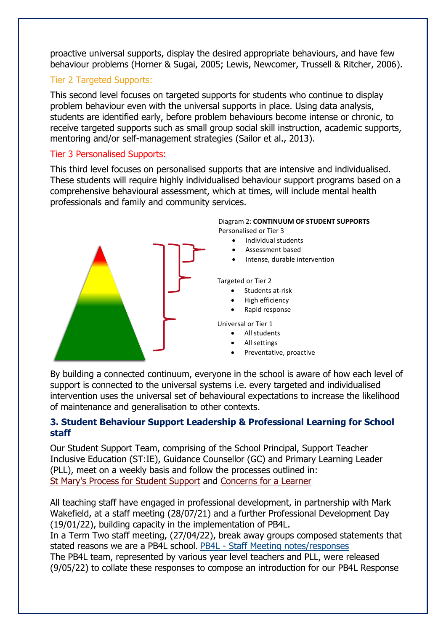proactive universal supports, display the desired appropriate behaviours, and have few behaviour problems (Horner & Sugai, 2005; Lewis, Newcomer, Trussell & Ritcher, 2006).

## Tier 2 Targeted Supports:

This second level focuses on targeted supports for students who continue to display problem behaviour even with the universal supports in place. Using data analysis, students are identified early, before problem behaviours become intense or chronic, to receive targeted supports such as small group social skill instruction, academic supports, mentoring and/or self-management strategies (Sailor et al., 2013).

## Tier 3 Personalised Supports:

This third level focuses on personalised supports that are intensive and individualised. These students will require highly individualised behaviour support programs based on a comprehensive behavioural assessment, which at times, will include mental health professionals and family and community services.



By building a connected continuum, everyone in the school is aware of how each level of support is connected to the universal systems i.e. every targeted and individualised intervention uses the universal set of behavioural expectations to increase the likelihood of maintenance and generalisation to other contexts.

### **3. Student Behaviour Support Leadership & Professional Learning for School staff**

Our Student Support Team, comprising of the School Principal, Support Teacher Inclusive Education (ST:IE), Guidance Counsellor (GC) and Primary Learning Leader (PLL), meet on a weekly basis and follow the processes outlined in: [St Mary's Process for Student Support](https://mybcecatholicedu.sharepoint.com/sites/sp-stmarysbeaudesert/staff/PB4L/Forms/AllItems.aspx?viewpath=%2Fsites%2Fsp%2Dstmarysbeaudesert%2Fstaff%2FPB4L%2FForms%2FAllItems%2Easpx&id=%2Fsites%2Fsp%2Dstmarysbeaudesert%2Fstaff%2FPB4L%2FPB4L%202022%2FST%20MARY%27S%20PROCESSES%20FOR%20STUDENT%20SUPPORT%2Epdf&parent=%2Fsites%2Fsp%2Dstmarysbeaudesert%2Fstaff%2FPB4L%2FPB4L%202022) and [Concerns for a Learner](https://mybcecatholicedu.sharepoint.com/sites/sp-stmarysbeaudesert/staff/lEARNING%20sUPPORT/Forms/AllItems.aspx?id=%2Fsites%2Fsp%2Dstmarysbeaudesert%2Fstaff%2FlEARNING%20sUPPORT%2FLearning%20Support%20Referral%2FConcerns%20for%20a%20Learner%20Process%2Epdf&parent=%2Fsites%2Fsp%2Dstmarysbeaudesert%2Fstaff%2FlEARNING%20sUPPORT%2FLearning%20Support%20Referral)

All teaching staff have engaged in professional development, in partnership with Mark Wakefield, at a staff meeting (28/07/21) and a further Professional Development Day (19/01/22), building capacity in the implementation of PB4L.

In a Term Two staff meeting, (27/04/22), break away groups composed statements that stated reasons we are a PB4L school. PB4L - [Staff Meeting notes/responses](https://mybcecatholicedu.sharepoint.com/:w:/r/sites/sp-stmarysbeaudesert/staff/_layouts/15/Doc.aspx?sourcedoc=%7B83B5E9A9-537E-480C-B46D-902C258AF6AD%7D&file=Minutes%2027April%2C%20week2.docx&action=default&mobileredirect=true)

The PB4L team, represented by various year level teachers and PLL, were released (9/05/22) to collate these responses to compose an introduction for our PB4L Response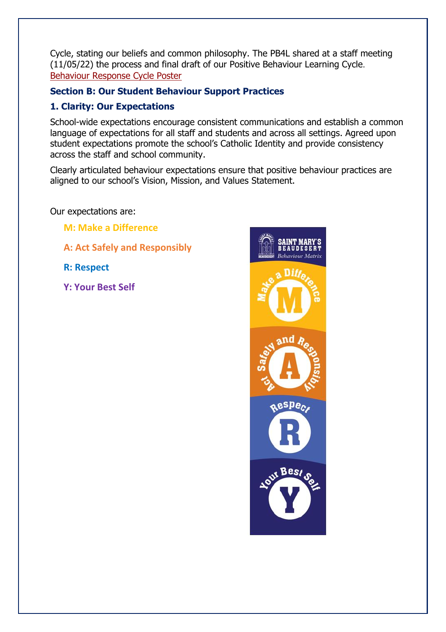Cycle, stating our beliefs and common philosophy. The PB4L shared at a staff meeting (11/05/22) the process and final draft of our Positive Behaviour Learning Cycle. [Behaviour Response Cycle Poster](https://mybcecatholicedu.sharepoint.com/sites/sp-stmarysbeaudesert/staff/Staff%20Documents/Forms/AllItems.aspx?viewpath=%2Fsites%2Fsp%2Dstmarysbeaudesert%2Fstaff%2FStaff%20Documents%2FForms%2FAllItems%2Easpx&id=%2Fsites%2Fsp%2Dstmarysbeaudesert%2Fstaff%2FStaff%20Documents%2FBEHAVIOUR%2FSaint%20Mary%27s%20Beaudesert%20cycle%2Ddraft%2Epdf&parent=%2Fsites%2Fsp%2Dstmarysbeaudesert%2Fstaff%2FStaff%20Documents%2FBEHAVIOUR)

# **Section B: Our Student Behaviour Support Practices**

## **1. Clarity: Our Expectations**

School-wide expectations encourage consistent communications and establish a common language of expectations for all staff and students and across all settings. Agreed upon student expectations promote the school's Catholic Identity and provide consistency across the staff and school community.

Clearly articulated behaviour expectations ensure that positive behaviour practices are aligned to our school's Vision, Mission, and Values Statement.

Our expectations are:

**M: Make a Difference** 

**A: Act Safely and Responsibly**

**R: Respect**

**Y: Your Best Self**

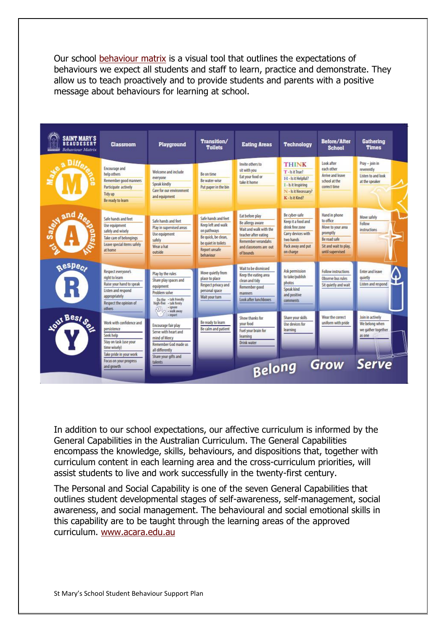Our school [behaviour matrix](https://mybcecatholicedu.sharepoint.com/sites/sp-stmarysbeaudesert/staff/Staff%20Documents/2022%20Planning/School%20Behaviour%20Support/Behaviour%20Matrix.pdf#search=school%20behaviour%20Matrix) is a visual tool that outlines the expectations of behaviours we expect all students and staff to learn, practice and demonstrate. They allow us to teach proactively and to provide students and parents with a positive message about behaviours for learning at school.

| <b>SAINT MARY'S</b><br><b>BEAUDESERT</b><br><b>RESIDENT</b> Behaviour Matrix | <b>Classroom</b>                                                                                                                            | Playground                                                                                                                                                                                                                         | Transition/<br><b>Toilets</b>                                                                                                       | <b>Eating Areas</b>                                                                                                                                       | <b>Technology</b>                                                                                                           | <b>Before/After</b><br><b>School</b>                                                                                     | <b>Gathering</b><br><b>Times</b>                                     |
|------------------------------------------------------------------------------|---------------------------------------------------------------------------------------------------------------------------------------------|------------------------------------------------------------------------------------------------------------------------------------------------------------------------------------------------------------------------------------|-------------------------------------------------------------------------------------------------------------------------------------|-----------------------------------------------------------------------------------------------------------------------------------------------------------|-----------------------------------------------------------------------------------------------------------------------------|--------------------------------------------------------------------------------------------------------------------------|----------------------------------------------------------------------|
|                                                                              | Encourage and<br>help others<br>Remember good manners<br>Participate actively<br>Tidy up<br>Be ready to learn                               | Welcome and include<br>everyone<br>Speak kindly<br>Care for our environment<br>and equipment                                                                                                                                       | Be on time<br>Be water-wise<br>Put paper in the bin                                                                                 | Invite others to<br>sit with you<br>Eat your food or<br>take it home                                                                                      | <b>THINK</b><br>T-kit True?<br>H - Is it Helpful?<br>I - Is it Inspiring<br>N - Is it Necessary?<br>K-Isit Kind?            | Look after<br>each other<br><b>Arrive and leave</b><br>school at the<br>comect time.                                     | Pray - join in<br>reverently<br>Listen to and look<br>at the speaker |
| and R                                                                        | Safe hands and feet<br>Use equipment<br>safely and wisely<br>Take care of belongings<br>Leave special items safely<br>at home               | Safe hands and feet<br>Play in supervised areas<br>Use equipment<br>safely<br>Wear a hat<br>outside                                                                                                                                | Safe hands and feet<br>Keep left and walk<br>on pathways<br>Be quick, be dean,<br>be quiet in toilets<br>Report unsafe<br>behaviour | Eat before play<br>Be allergy aware<br>Wait and walk with the<br>teacher after eating<br><b>Remember verandahs</b><br>and classrooms are out<br>of bounds | Be cyber-safe<br>Keep it a food and<br>drink free zone<br>Carry devices with<br>two hands<br>Pack away and put<br>on charge | Hand in phone<br>to office<br>Move to your area<br>promptly<br>Be road safe<br>Sit and wait to play.<br>until supervised | Move safely<br>Follow<br><i>instructions</i>                         |
| Respect<br>$\mathsf{R}$                                                      | Respect everyone's<br>right to learn<br>Raise your hand to speak<br>Listen and respond<br>appropriately<br>Respect the opinion of<br>others | Play by the rules<br>Share play spaces and<br>equipment<br>Problem solve<br>Do the - talk friendly<br>high-five - talk firmly<br>$-$ ignore<br>$\left\langle\begin{smallmatrix} 0 \\ 1 \end{smallmatrix}\right\rangle$ , walk away | Move quietly from<br>place to place<br>Respect privacy and<br>personal space<br>Wait your turn                                      | Wait to be dismissed<br>Keep the eating area<br>clean and tidy<br>Remember good<br>manners<br>Look after lunchboxes                                       | Ask permission<br>to take/publish<br>photos<br>Speak kind<br>and positive<br>comments                                       | <b>Follow instructions</b><br>Observe bus rules<br>Sit quietly and wait                                                  | Enter and leave<br>n<br>quietly<br>Listen and respond                |
| <b>Agut Best of</b>                                                          | Work with confidence and<br>persistence<br>Seek help<br>Stay on task (use your<br>time wisely)<br>Take pride in your work                   | $+$ report<br>Encourage fair play<br>Serve with heart and<br>mind of Mercy<br>Remember God made us<br>all differently                                                                                                              | Be ready to learn<br>Be calm and patient                                                                                            | Show thanks for<br>vour food<br>Fuel your brain for<br>learning<br>Drink water                                                                            | Share your skills<br>Use devices for<br>learning                                                                            | Wear the correct<br>uniform with pride                                                                                   | Join in actively<br>We belong when<br>we gather together<br>as one   |
|                                                                              | Focus on your progress<br>and growth                                                                                                        | Share your gifts and<br>talents                                                                                                                                                                                                    |                                                                                                                                     | Belong                                                                                                                                                    |                                                                                                                             | <b>Grow</b>                                                                                                              | Serve                                                                |

In addition to our school expectations, our affective curriculum is informed by the General Capabilities in the Australian Curriculum. The General Capabilities encompass the knowledge, skills, behaviours, and dispositions that, together with curriculum content in each learning area and the cross-curriculum priorities, will assist students to live and work successfully in the twenty-first century.

The Personal and Social Capability is one of the seven General Capabilities that outlines student developmental stages of self-awareness, self-management, social awareness, and social management. The behavioural and social emotional skills in this capability are to be taught through the learning areas of the approved curriculum. [www.acara.edu.au](http://www.acara.edu.au/)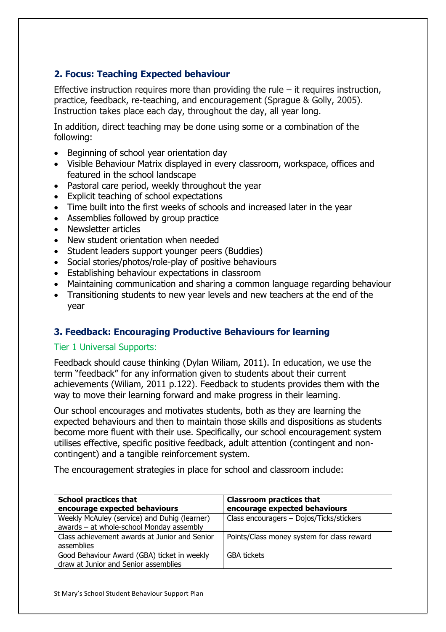# **2. Focus: Teaching Expected behaviour**

Effective instruction requires more than providing the rule  $-$  it requires instruction, practice, feedback, re-teaching, and encouragement (Sprague & Golly, 2005). Instruction takes place each day, throughout the day, all year long.

In addition, direct teaching may be done using some or a combination of the following:

- Beginning of school year orientation day
- Visible Behaviour Matrix displayed in every classroom, workspace, offices and featured in the school landscape
- Pastoral care period, weekly throughout the year
- Explicit teaching of school expectations
- Time built into the first weeks of schools and increased later in the year
- Assemblies followed by group practice
- Newsletter articles
- New student orientation when needed
- Student leaders support younger peers (Buddies)
- Social stories/photos/role-play of positive behaviours
- Establishing behaviour expectations in classroom
- Maintaining communication and sharing a common language regarding behaviour
- Transitioning students to new year levels and new teachers at the end of the year

# **3. Feedback: Encouraging Productive Behaviours for learning**

# Tier 1 Universal Supports:

Feedback should cause thinking (Dylan Wiliam, 2011). In education, we use the term "feedback" for any information given to students about their current achievements (Wiliam, 2011 p.122). Feedback to students provides them with the way to move their learning forward and make progress in their learning.

Our school encourages and motivates students, both as they are learning the expected behaviours and then to maintain those skills and dispositions as students become more fluent with their use. Specifically, our school encouragement system utilises effective, specific positive feedback, adult attention (contingent and noncontingent) and a tangible reinforcement system.

The encouragement strategies in place for school and classroom include:

| <b>School practices that</b>                  | <b>Classroom practices that</b>            |  |
|-----------------------------------------------|--------------------------------------------|--|
| encourage expected behaviours                 | encourage expected behaviours              |  |
| Weekly McAuley (service) and Duhig (learner)  | Class encouragers - Dojos/Ticks/stickers   |  |
| awards - at whole-school Monday assembly      |                                            |  |
| Class achievement awards at Junior and Senior | Points/Class money system for class reward |  |
| assemblies                                    |                                            |  |
| Good Behaviour Award (GBA) ticket in weekly   | <b>GBA tickets</b>                         |  |
| draw at Junior and Senior assemblies          |                                            |  |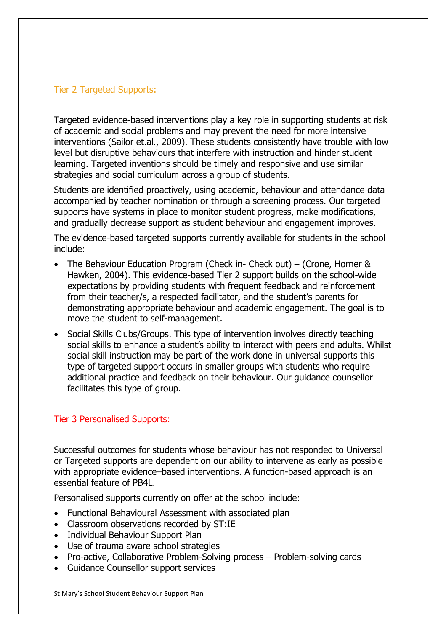## Tier 2 Targeted Supports:

Targeted evidence-based interventions play a key role in supporting students at risk of academic and social problems and may prevent the need for more intensive interventions (Sailor et.al., 2009). These students consistently have trouble with low level but disruptive behaviours that interfere with instruction and hinder student learning. Targeted inventions should be timely and responsive and use similar strategies and social curriculum across a group of students.

Students are identified proactively, using academic, behaviour and attendance data accompanied by teacher nomination or through a screening process. Our targeted supports have systems in place to monitor student progress, make modifications, and gradually decrease support as student behaviour and engagement improves.

The evidence-based targeted supports currently available for students in the school include:

- The Behaviour Education Program (Check in- Check out) (Crone, Horner & Hawken, 2004). This evidence-based Tier 2 support builds on the school-wide expectations by providing students with frequent feedback and reinforcement from their teacher/s, a respected facilitator, and the student's parents for demonstrating appropriate behaviour and academic engagement. The goal is to move the student to self-management.
- Social Skills Clubs/Groups. This type of intervention involves directly teaching social skills to enhance a student's ability to interact with peers and adults. Whilst social skill instruction may be part of the work done in universal supports this type of targeted support occurs in smaller groups with students who require additional practice and feedback on their behaviour. Our guidance counsellor facilitates this type of group.

#### Tier 3 Personalised Supports:

Successful outcomes for students whose behaviour has not responded to Universal or Targeted supports are dependent on our ability to intervene as early as possible with appropriate evidence–based interventions. A function-based approach is an essential feature of PB4L.

Personalised supports currently on offer at the school include:

- Functional Behavioural Assessment with associated plan
- Classroom observations recorded by ST:IE
- Individual Behaviour Support Plan
- Use of trauma aware school strategies
- Pro-active, Collaborative Problem-Solving process Problem-solving cards
- Guidance Counsellor support services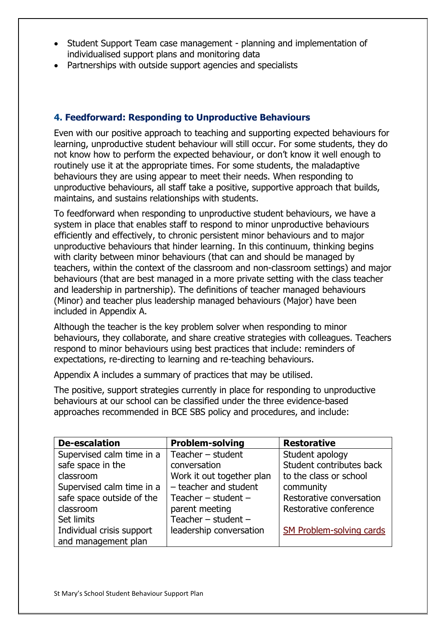- Student Support Team case management planning and implementation of individualised support plans and monitoring data
- Partnerships with outside support agencies and specialists

## **4. Feedforward: Responding to Unproductive Behaviours**

Even with our positive approach to teaching and supporting expected behaviours for learning, unproductive student behaviour will still occur. For some students, they do not know how to perform the expected behaviour, or don't know it well enough to routinely use it at the appropriate times. For some students, the maladaptive behaviours they are using appear to meet their needs. When responding to unproductive behaviours, all staff take a positive, supportive approach that builds, maintains, and sustains relationships with students.

To feedforward when responding to unproductive student behaviours, we have a system in place that enables staff to respond to minor unproductive behaviours efficiently and effectively, to chronic persistent minor behaviours and to major unproductive behaviours that hinder learning. In this continuum, thinking begins with clarity between minor behaviours (that can and should be managed by teachers, within the context of the classroom and non-classroom settings) and major behaviours (that are best managed in a more private setting with the class teacher and leadership in partnership). The definitions of teacher managed behaviours (Minor) and teacher plus leadership managed behaviours (Major) have been included in Appendix A.

Although the teacher is the key problem solver when responding to minor behaviours, they collaborate, and share creative strategies with colleagues. Teachers respond to minor behaviours using best practices that include: reminders of expectations, re-directing to learning and re-teaching behaviours.

Appendix A includes a summary of practices that may be utilised.

The positive, support strategies currently in place for responding to unproductive behaviours at our school can be classified under the three evidence-based approaches recommended in BCE SBS policy and procedures, and include:

| <b>De-escalation</b>      | <b>Problem-solving</b>    | <b>Restorative</b>       |
|---------------------------|---------------------------|--------------------------|
| Supervised calm time in a | Teacher $-$ student       | Student apology          |
| safe space in the         | conversation              | Student contributes back |
| classroom                 | Work it out together plan | to the class or school   |
| Supervised calm time in a | - teacher and student     | community                |
| safe space outside of the | Teacher $-$ student $-$   | Restorative conversation |
| classroom                 | parent meeting            | Restorative conference   |
| Set limits                | Teacher $-$ student $-$   |                          |
| Individual crisis support | leadership conversation   | SM Problem-solving cards |
| and management plan       |                           |                          |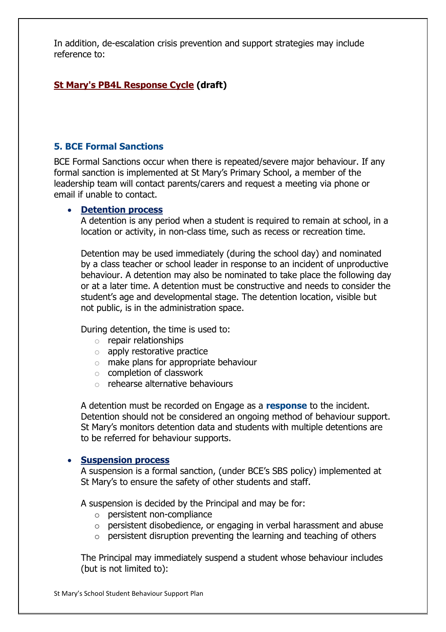In addition, de-escalation crisis prevention and support strategies may include reference to:

# **[St Mary's PB4L Response Cycle](https://mybcecatholicedu.sharepoint.com/sites/sp-stmarysbeaudesert/staff/Staff%20Documents/Forms/AllItems.aspx?viewpath=%2Fsites%2Fsp%2Dstmarysbeaudesert%2Fstaff%2FStaff%20Documents%2FForms%2FAllItems%2Easpx&id=%2Fsites%2Fsp%2Dstmarysbeaudesert%2Fstaff%2FStaff%20Documents%2FBEHAVIOUR%2FSaint%20Mary%27s%20Beaudesert%20cycle%2Ddraft%2Epdf&parent=%2Fsites%2Fsp%2Dstmarysbeaudesert%2Fstaff%2FStaff%20Documents%2FBEHAVIOUR) (draft)**

### **5. BCE Formal Sanctions**

BCE Formal Sanctions occur when there is repeated/severe major behaviour. If any formal sanction is implemented at St Mary's Primary School, a member of the leadership team will contact parents/carers and request a meeting via phone or email if unable to contact.

#### • **[Detention process](https://mybcecatholicedu.sharepoint.com/policies-and-procedures/ResourceStore/Detention%20procedure.pdf#search=Detention)**

A detention is any period when a student is required to remain at school, in a location or activity, in non-class time, such as recess or recreation time.

Detention may be used immediately (during the school day) and nominated by a class teacher or school leader in response to an incident of unproductive behaviour. A detention may also be nominated to take place the following day or at a later time. A detention must be constructive and needs to consider the student's age and developmental stage. The detention location, visible but not public, is in the administration space.

During detention, the time is used to:

- o repair relationships
- o apply restorative practice
- o make plans for appropriate behaviour
- o completion of classwork
- $\circ$  rehearse alternative behaviours

A detention must be recorded on Engage as a **response** to the incident. Detention should not be considered an ongoing method of behaviour support. St Mary's monitors detention data and students with multiple detentions are to be referred for behaviour supports.

#### • **[Suspension process](https://mybcecatholicedu.sharepoint.com/policies-and-procedures/ResourceStore/Suspension%20procedure.pdf#search=suspension)**

A suspension is a formal sanction, (under BCE's SBS policy) implemented at St Mary's to ensure the safety of other students and staff.

A suspension is decided by the Principal and may be for:

- o persistent non-compliance
- $\circ$  persistent disobedience, or engaging in verbal harassment and abuse
- $\circ$  persistent disruption preventing the learning and teaching of others

The Principal may immediately suspend a student whose behaviour includes (but is not limited to):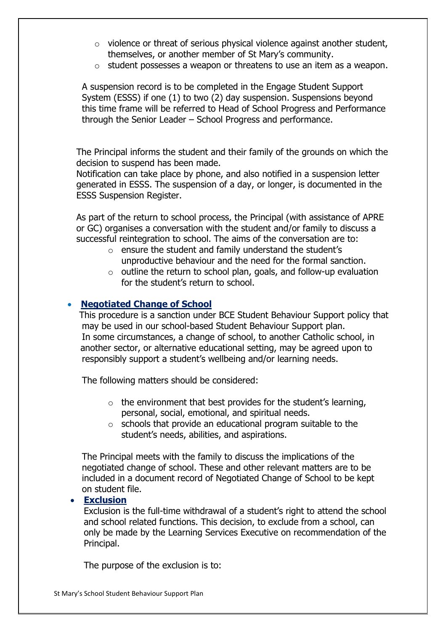- o violence or threat of serious physical violence against another student, themselves, or another member of St Mary's community.
- o student possesses a weapon or threatens to use an item as a weapon.

 A suspension record is to be completed in the Engage Student Support System (ESSS) if one (1) to two (2) day suspension. Suspensions beyond this time frame will be referred to Head of School Progress and Performance through the Senior Leader – School Progress and performance.

 The Principal informs the student and their family of the grounds on which the decision to suspend has been made.

 Notification can take place by phone, and also notified in a suspension letter generated in ESSS. The suspension of a day, or longer, is documented in the ESSS Suspension Register.

 As part of the return to school process, the Principal (with assistance of APRE or GC) organises a conversation with the student and/or family to discuss a successful reintegration to school. The aims of the conversation are to:

- o ensure the student and family understand the student's unproductive behaviour and the need for the formal sanction.
- $\circ$  outline the return to school plan, goals, and follow-up evaluation for the student's return to school.

### • **[Negotiated Change of School](https://mybcecatholicedu.sharepoint.com/policies-and-procedures/ResourceStore/Negoitated%20Change%20of%20School%20procedure.pdf#search=negotiated%20change%20of%20school)**

 This procedure is a sanction under BCE Student Behaviour Support policy that may be used in our school-based Student Behaviour Support plan. In some circumstances, a change of school, to another Catholic school, in another sector, or alternative educational setting, may be agreed upon to responsibly support a student's wellbeing and/or learning needs.

The following matters should be considered:

- $\circ$  the environment that best provides for the student's learning, personal, social, emotional, and spiritual needs.
- $\circ$  schools that provide an educational program suitable to the student's needs, abilities, and aspirations.

 The Principal meets with the family to discuss the implications of the negotiated change of school. These and other relevant matters are to be included in a document record of Negotiated Change of School to be kept on student file.

#### • **Exclusion**

Exclusion is the full-time withdrawal of a student's right to attend the school and school related functions. This decision, to exclude from a school, can only be made by the Learning Services Executive on recommendation of the Principal.

The purpose of the exclusion is to: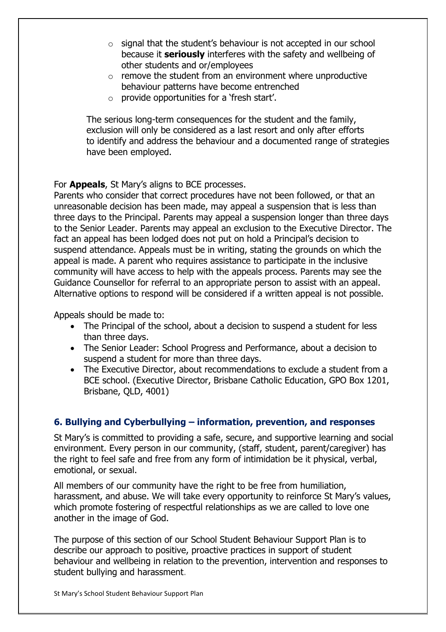- $\circ$  signal that the student's behaviour is not accepted in our school because it **seriously** interferes with the safety and wellbeing of other students and or/employees
- $\circ$  remove the student from an environment where unproductive behaviour patterns have become entrenched
- $\circ$  provide opportunities for a 'fresh start'.

 The serious long-term consequences for the student and the family, exclusion will only be considered as a last resort and only after efforts to identify and address the behaviour and a documented range of strategies have been employed.

### For **Appeals**, St Mary's aligns to BCE processes.

Parents who consider that correct procedures have not been followed, or that an unreasonable decision has been made, may appeal a suspension that is less than three days to the Principal. Parents may appeal a suspension longer than three days to the Senior Leader. Parents may appeal an exclusion to the Executive Director. The fact an appeal has been lodged does not put on hold a Principal's decision to suspend attendance. Appeals must be in writing, stating the grounds on which the appeal is made. A parent who requires assistance to participate in the inclusive community will have access to help with the appeals process. Parents may see the Guidance Counsellor for referral to an appropriate person to assist with an appeal. Alternative options to respond will be considered if a written appeal is not possible.

Appeals should be made to:

- The Principal of the school, about a decision to suspend a student for less than three days.
- The Senior Leader: School Progress and Performance, about a decision to suspend a student for more than three days.
- The Executive Director, about recommendations to exclude a student from a BCE school. (Executive Director, Brisbane Catholic Education, GPO Box 1201, Brisbane, QLD, 4001)

# **6. Bullying and Cyberbullying – information, prevention, and responses**

St Mary's is committed to providing a safe, secure, and supportive learning and social environment. Every person in our community, (staff, student, parent/caregiver) has the right to feel safe and free from any form of intimidation be it physical, verbal, emotional, or sexual.

All members of our community have the right to be free from humiliation, harassment, and abuse. We will take every opportunity to reinforce St Mary's values, which promote fostering of respectful relationships as we are called to love one another in the image of God.

The purpose of this section of our School Student Behaviour Support Plan is to describe our approach to positive, proactive practices in support of student behaviour and wellbeing in relation to the prevention, intervention and responses to student bullying and harassment.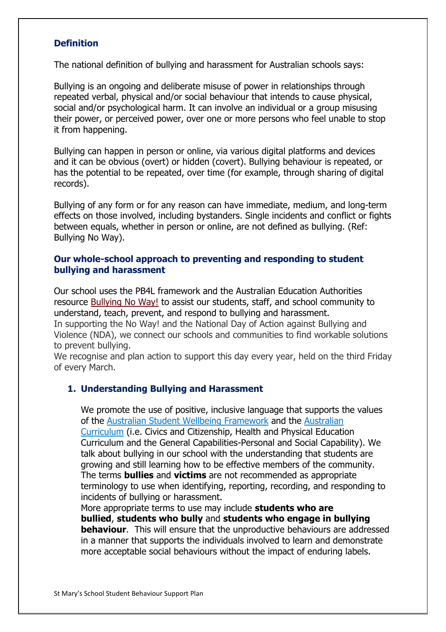### **Definition**

The national definition of bullying and harassment for Australian schools says:

Bullying is an ongoing and deliberate misuse of power in relationships through repeated verbal, physical and/or social behaviour that intends to cause physical, social and/or psychological harm. It can involve an individual or a group misusing their power, or perceived power, over one or more persons who feel unable to stop it from happening.

Bullying can happen in person or online, via various digital platforms and devices and it can be obvious (overt) or hidden (covert). Bullying behaviour is repeated, or has the potential to be repeated, over time (for example, through sharing of digital records).

Bullying of any form or for any reason can have immediate, medium, and long-term effects on those involved, including bystanders. Single incidents and conflict or fights between equals, whether in person or online, are not defined as bullying. (Ref: Bullying No Way).

#### **Our whole-school approach to preventing and responding to student bullying and harassment**

Our school uses the PB4L framework and the Australian Education Authorities resource [Bullying No Way!](https://bullyingnoway.gov.au/) to assist our students, staff, and school community to understand, teach, prevent, and respond to bullying and harassment. In supporting the No Way! and the National Day of Action against Bullying and Violence (NDA), we connect our schools and communities to find workable solutions to prevent bullying.

We recognise and plan action to support this day every year, held on the third Friday of every March.

#### **1. Understanding Bullying and Harassment**

We promote the use of positive, inclusive language that supports the values of the [Australian Student Wellbeing](https://www.studentwellbeinghub.edu.au/educators/australian-student-wellbeing-framework) Framework and the [Australian](https://www.australiancurriculum.edu.au/)  [Curriculum](https://www.australiancurriculum.edu.au/) (i.e. Civics and Citizenship, Health and Physical Education Curriculum and the General Capabilities-Personal and Social Capability). We talk about bullying in our school with the understanding that students are growing and still learning how to be effective members of the community. The terms **bullies** and **victims** are not recommended as appropriate terminology to use when identifying, reporting, recording, and responding to incidents of bullying or harassment.

More appropriate terms to use may include **students who are bullied**, **students who bully** and **students who engage in bullying behaviour.** This will ensure that the unproductive behaviours are addressed in a manner that supports the individuals involved to learn and demonstrate more acceptable social behaviours without the impact of enduring labels.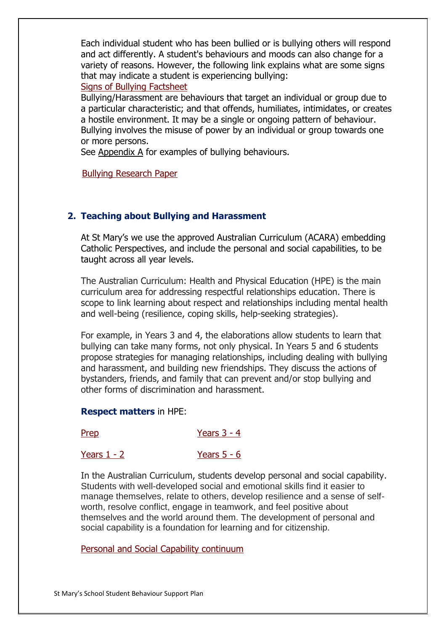Each individual student who has been bullied or is bullying others will respond and act differently. A student's behaviours and moods can also change for a variety of reasons. However, the following link explains what are some signs that may indicate a student is experiencing bullying: [Signs of Bullying Factsheet](https://bullyingnoway.gov.au/resource/fact-sheets/Documents/bnw-factsheet-4-signs-of-bullying.pdf)

Bullying/Harassment are behaviours that target an individual or group due to a particular characteristic; and that offends, humiliates, intimidates, or creates a hostile environment. It may be a single or ongoing pattern of behaviour. Bullying involves the misuse of power by an individual or group towards one or more persons.

See Appendix A for examples of bullying behaviours.

[Bullying Research Paper](https://mybcecatholicedu.sharepoint.com/about-bce/Shared%20Documents/Research%20reports/Bullying%20and%20Cyberbullying.pdf%23search=bullying)

# **2. Teaching about Bullying and Harassment**

At St Mary's we use the approved Australian Curriculum (ACARA) embedding Catholic Perspectives, and include the personal and social capabilities, to be taught across all year levels.

The Australian Curriculum: Health and Physical Education (HPE) is the main curriculum area for addressing respectful relationships education. There is scope to link learning about respect and relationships including mental health and well-being (resilience, coping skills, help-seeking strategies).

For example, in Years 3 and 4, the elaborations allow students to learn that bullying can take many forms, not only physical. In Years 5 and 6 students propose strategies for managing relationships, including dealing with bullying and harassment, and building new friendships. They discuss the actions of bystanders, friends, and family that can prevent and/or stop bullying and other forms of discrimination and harassment.

#### **Respect matters** in HPE:

| Prep | Years $3 - 4$ |
|------|---------------|
|      |               |

[Years 1 -](https://www.australiancurriculum.edu.au/media/6872/rm_cc_y1_y2.pdf) 2 [Years 5 -](https://www.australiancurriculum.edu.au/media/6870/rm_cc_y5_y6.pdf) 6

In the Australian Curriculum, students develop personal and social capability. Students with well-developed social and emotional skills find it easier to manage themselves, relate to others, develop resilience and a sense of selfworth, resolve conflict, engage in teamwork, and feel positive about themselves and the world around them. The development of personal and social capability is a foundation for learning and for citizenship.

[Personal and Social Capability continuum](https://www.australiancurriculum.edu.au/media/1078/general-capabilities-personal-and-social-capability-learning-continuum.pdf)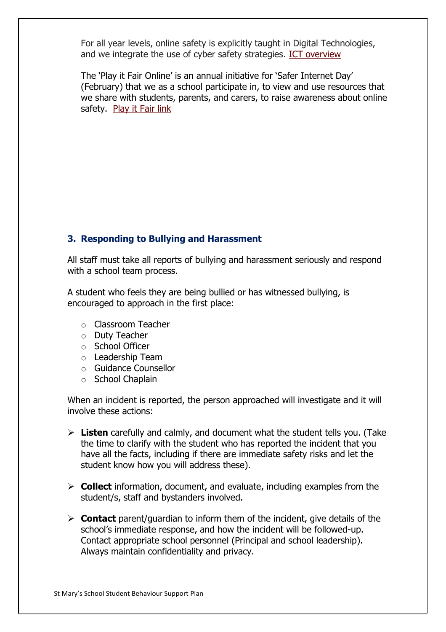For all year levels, online safety is explicitly taught in Digital Technologies, and we integrate the use of cyber safety strategies. [ICT overview](https://mybcecatholicedu.sharepoint.com/:w:/r/sites/sp-stmarysbeaudesert/staff/_layouts/15/Doc.aspx?sourcedoc=%7BEA1BA0B1-4B0C-4395-B2A2-37B5154D8482%7D&file=St%20Mary%27s%20Information%20Communication%20Technology%20Plan.docx&action=default&mobileredirect=true&DefaultItemOpen=1)

The 'Play it Fair Online' is an annual initiative for 'Safer Internet Day' (February) that we as a school participate in, to view and use resources that we share with students, parents, and carers, to raise awareness about online safety. [Play it Fair link](https://www.esafety.gov.au/newsroom/whats-on/safer-internet-day-2022%23summary-of-the-results)

# **3. Responding to Bullying and Harassment**

All staff must take all reports of bullying and harassment seriously and respond with a school team process.

A student who feels they are being bullied or has witnessed bullying, is encouraged to approach in the first place:

- o Classroom Teacher
- o Duty Teacher
- o School Officer
- o Leadership Team
- o Guidance Counsellor
- o School Chaplain

When an incident is reported, the person approached will investigate and it will involve these actions:

- ➢ **Listen** carefully and calmly, and document what the student tells you. (Take the time to clarify with the student who has reported the incident that you have all the facts, including if there are immediate safety risks and let the student know how you will address these).
- ➢ **Collect** information, document, and evaluate, including examples from the student/s, staff and bystanders involved.
- ➢ **Contact** parent/guardian to inform them of the incident, give details of the school's immediate response, and how the incident will be followed-up. Contact appropriate school personnel (Principal and school leadership). Always maintain confidentiality and privacy.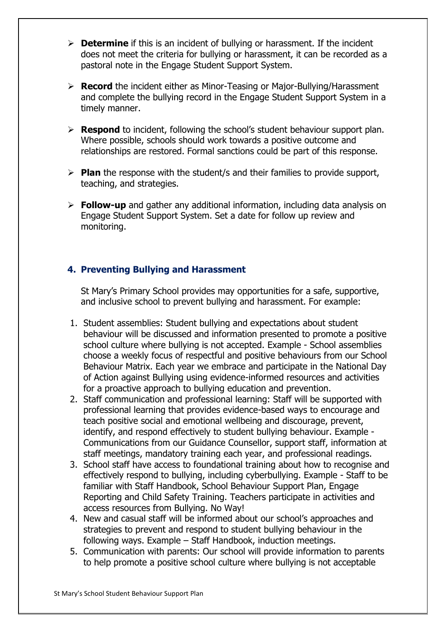- ➢ **Determine** if this is an incident of bullying or harassment. If the incident does not meet the criteria for bullying or harassment, it can be recorded as a pastoral note in the Engage Student Support System.
- ➢ **Record** the incident either as Minor-Teasing or Major-Bullying/Harassment and complete the bullying record in the Engage Student Support System in a timely manner.
- ➢ **Respond** to incident, following the school's student behaviour support plan. Where possible, schools should work towards a positive outcome and relationships are restored. Formal sanctions could be part of this response.
- ➢ **Plan** the response with the student/s and their families to provide support, teaching, and strategies.
- ➢ **Follow-up** and gather any additional information, including data analysis on Engage Student Support System. Set a date for follow up review and monitoring.

# **4. Preventing Bullying and Harassment**

St Mary's Primary School provides may opportunities for a safe, supportive, and inclusive school to prevent bullying and harassment. For example:

- 1. Student assemblies: Student bullying and expectations about student behaviour will be discussed and information presented to promote a positive school culture where bullying is not accepted. Example - School assemblies choose a weekly focus of respectful and positive behaviours from our School Behaviour Matrix. Each year we embrace and participate in the National Day of Action against Bullying using evidence-informed resources and activities for a proactive approach to bullying education and prevention.
- 2. Staff communication and professional learning: Staff will be supported with professional learning that provides evidence-based ways to encourage and teach positive social and emotional wellbeing and discourage, prevent, identify, and respond effectively to student bullying behaviour. Example - Communications from our Guidance Counsellor, support staff, information at staff meetings, mandatory training each year, and professional readings.
- 3. School staff have access to foundational training about how to recognise and effectively respond to bullying, including cyberbullying. Example - Staff to be familiar with Staff Handbook, School Behaviour Support Plan, Engage Reporting and Child Safety Training. Teachers participate in activities and access resources from Bullying. No Way!
- 4. New and casual staff will be informed about our school's approaches and strategies to prevent and respond to student bullying behaviour in the following ways. Example – Staff Handbook, induction meetings.
- 5. Communication with parents: Our school will provide information to parents to help promote a positive school culture where bullying is not acceptable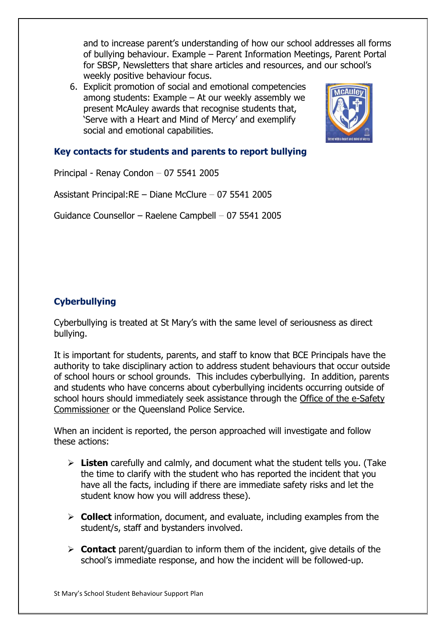and to increase parent's understanding of how our school addresses all forms of bullying behaviour. Example – Parent Information Meetings, Parent Portal for SBSP, Newsletters that share articles and resources, and our school's weekly positive behaviour focus.

6. Explicit promotion of social and emotional competencies among students: Example – At our weekly assembly we present McAuley awards that recognise students that, 'Serve with a Heart and Mind of Mercy' and exemplify social and emotional capabilities.



# **Key contacts for students and parents to report bullying**

Principal - Renay Condon – 07 5541 2005

Assistant Principal:RE – Diane McClure – 07 5541 2005

Guidance Counsellor – Raelene Campbell – 07 5541 2005

# **Cyberbullying**

Cyberbullying is treated at St Mary's with the same level of seriousness as direct bullying.

It is important for students, parents, and staff to know that BCE Principals have the authority to take disciplinary action to address student behaviours that occur outside of school hours or school grounds. This includes cyberbullying. In addition, parents and students who have concerns about cyberbullying incidents occurring outside of school hours should immediately seek assistance through the [Office of the e-Safety](https://www.esafety.gov.au/)  [Commissioner](https://www.esafety.gov.au/) or the Queensland Police Service.

When an incident is reported, the person approached will investigate and follow these actions:

- ➢ **Listen** carefully and calmly, and document what the student tells you. (Take the time to clarify with the student who has reported the incident that you have all the facts, including if there are immediate safety risks and let the student know how you will address these).
- ➢ **Collect** information, document, and evaluate, including examples from the student/s, staff and bystanders involved.
- ➢ **Contact** parent/guardian to inform them of the incident, give details of the school's immediate response, and how the incident will be followed-up.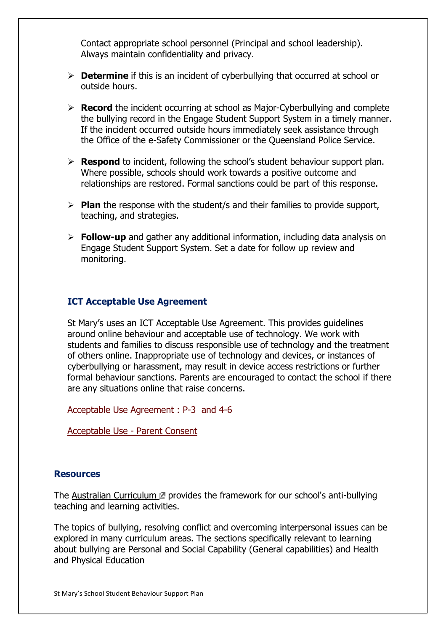Contact appropriate school personnel (Principal and school leadership). Always maintain confidentiality and privacy.

- ➢ **Determine** if this is an incident of cyberbullying that occurred at school or outside hours.
- ➢ **Record** the incident occurring at school as Major-Cyberbullying and complete the bullying record in the Engage Student Support System in a timely manner. If the incident occurred outside hours immediately seek assistance through the Office of the e-Safety Commissioner or the Queensland Police Service.
- ➢ **Respond** to incident, following the school's student behaviour support plan. Where possible, schools should work towards a positive outcome and relationships are restored. Formal sanctions could be part of this response.
- ➢ **Plan** the response with the student/s and their families to provide support, teaching, and strategies.
- ➢ **Follow-up** and gather any additional information, including data analysis on Engage Student Support System. Set a date for follow up review and monitoring.

### **ICT Acceptable Use Agreement**

St Mary's uses an ICT Acceptable Use Agreement. This provides guidelines around online behaviour and acceptable use of technology. We work with students and families to discuss responsible use of technology and the treatment of others online. Inappropriate use of technology and devices, or instances of cyberbullying or harassment, may result in device access restrictions or further formal behaviour sanctions. Parents are encouraged to contact the school if there are any situations online that raise concerns.

[Acceptable Use Agreement : P-3 and 4-6](https://mybcecatholicedu.sharepoint.com/sites/sp-stmarysbeaudesert/staff/Staff%20Documents/Forms/AllItems.aspx?viewpath=%2Fsites%2Fsp%2Dstmarysbeaudesert%2Fstaff%2FStaff%20Documents%2FForms%2FAllItems%2Easpx&id=%2Fsites%2Fsp%2Dstmarysbeaudesert%2Fstaff%2FStaff%20Documents%2FeSMART%2FDomain%202%20%2D%20School%20Plans%2C%20Policies%20and%20Procedures%2F2%2E3%20Acceptable%20Use%20Agreement%2Epdf&parent=%2Fsites%2Fsp%2Dstmarysbeaudesert%2Fstaff%2FStaff%20Documents%2FeSMART%2FDomain%202%20%2D%20School%20Plans%2C%20Policies%20and%20Procedures)

[Acceptable Use -](https://mybcecatholicedu.sharepoint.com/sites/sp-stmarysbeaudesert/staff/Staff%20Documents/Forms/AllItems.aspx?viewpath=%2Fsites%2Fsp%2Dstmarysbeaudesert%2Fstaff%2FStaff%20Documents%2FForms%2FAllItems%2Easpx&id=%2Fsites%2Fsp%2Dstmarysbeaudesert%2Fstaff%2FStaff%20Documents%2FeSMART%2FDomain%202%20%2D%20School%20Plans%2C%20Policies%20and%20Procedures%2F2%2E3%20Parent%20and%20Student%20ICT%20Acceptable%20Use%20Terms%20and%20Conditions%20Form%2Epdf&parent=%2Fsites%2Fsp%2Dstmarysbeaudesert%2Fstaff%2FStaff%20Documents%2FeSMART%2FDomain%202%20%2D%20School%20Plans%2C%20Policies%20and%20Procedures) Parent Consent

#### **Resources**

The [Australian Curriculum](https://www.australiancurriculum.edu.au/)  $\mathbb Z$  provides the framework for our school's anti-bullying teaching and learning activities.

The topics of bullying, resolving conflict and overcoming interpersonal issues can be explored in many curriculum areas. The sections specifically relevant to learning about bullying are Personal and Social Capability (General capabilities) and Health and Physical Education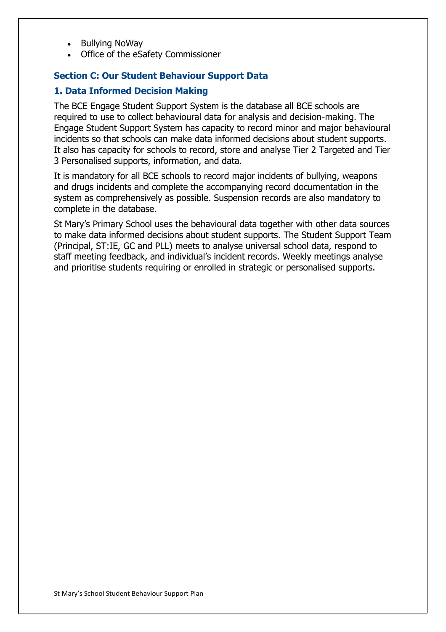- Bullying NoWay
- Office of the eSafety Commissioner

### **Section C: Our Student Behaviour Support Data**

### **1. Data Informed Decision Making**

The BCE Engage Student Support System is the database all BCE schools are required to use to collect behavioural data for analysis and decision-making. The Engage Student Support System has capacity to record minor and major behavioural incidents so that schools can make data informed decisions about student supports. It also has capacity for schools to record, store and analyse Tier 2 Targeted and Tier 3 Personalised supports, information, and data.

It is mandatory for all BCE schools to record major incidents of bullying, weapons and drugs incidents and complete the accompanying record documentation in the system as comprehensively as possible. Suspension records are also mandatory to complete in the database.

St Mary's Primary School uses the behavioural data together with other data sources to make data informed decisions about student supports. The Student Support Team (Principal, ST:IE, GC and PLL) meets to analyse universal school data, respond to staff meeting feedback, and individual's incident records. Weekly meetings analyse and prioritise students requiring or enrolled in strategic or personalised supports.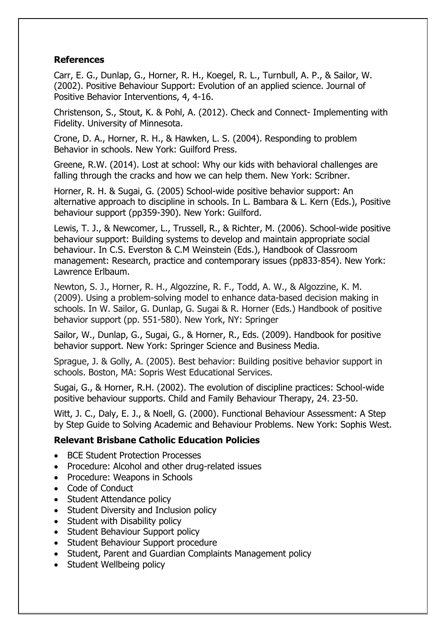# **References**

Carr, E. G., Dunlap, G., Horner, R. H., Koegel, R. L., Turnbull, A. P., & Sailor, W. (2002). Positive Behaviour Support: Evolution of an applied science. Journal of Positive Behavior Interventions, 4, 4-16.

Christenson, S., Stout, K. & Pohl, A. (2012). Check and Connect- Implementing with Fidelity. University of Minnesota.

Crone, D. A., Horner, R. H., & Hawken, L. S. (2004). Responding to problem Behavior in schools. New York: Guilford Press.

Greene, R.W. (2014). Lost at school: Why our kids with behavioral challenges are falling through the cracks and how we can help them. New York: Scribner.

Horner, R. H. & Sugai, G. (2005) School-wide positive behavior support: An alternative approach to discipline in schools. In L. Bambara & L. Kern (Eds.), Positive behaviour support (pp359-390). New York: Guilford.

Lewis, T. J., & Newcomer, L., Trussell, R., & Richter, M. (2006). School-wide positive behaviour support: Building systems to develop and maintain appropriate social behaviour. In C.S. Everston & C.M Weinstein (Eds.), Handbook of Classroom management: Research, practice and contemporary issues (pp833-854). New York: Lawrence Erlbaum.

Newton, S. J., Horner, R. H., Algozzine, R. F., Todd, A. W., & Algozzine, K. M. (2009). Using a problem-solving model to enhance data-based decision making in schools. In W. Sailor, G. Dunlap, G. Sugai & R. Horner (Eds.) Handbook of positive behavior support (pp. 551-580). New York, NY: Springer

Sailor, W., Dunlap, G., Sugai, G., & Horner, R., Eds. (2009). Handbook for positive behavior support. New York: Springer Science and Business Media.

Sprague, J. & Golly, A. (2005). Best behavior: Building positive behavior support in schools. Boston, MA: Sopris West Educational Services.

Sugai, G., & Horner, R.H. (2002). The evolution of discipline practices: School-wide positive behaviour supports. Child and Family Behaviour Therapy, 24. 23-50.

Witt, J. C., Daly, E. J., & Noell, G. (2000). Functional Behaviour Assessment: A Step by Step Guide to Solving Academic and Behaviour Problems. New York: Sophis West.

# **Relevant Brisbane Catholic Education Policies**

- BCE Student Protection Processes
- Procedure: Alcohol and other drug-related issues
- Procedure: Weapons in Schools
- Code of Conduct
- Student Attendance policy
- Student Diversity and Inclusion policy
- Student with Disability policy
- Student Behaviour Support policy
- Student Behaviour Support procedure
- Student, Parent and Guardian Complaints Management policy
- Student Wellbeing policy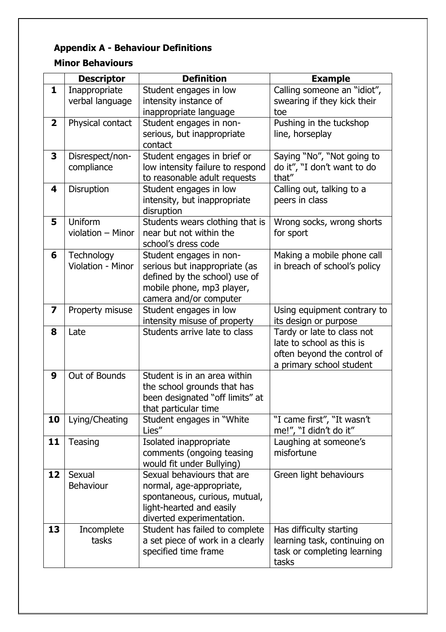# **Appendix A - Behaviour Definitions**

# **Minor Behaviours**

|                         | <b>Descriptor</b> | <b>Definition</b>                                      | <b>Example</b>                                       |
|-------------------------|-------------------|--------------------------------------------------------|------------------------------------------------------|
| $\mathbf{1}$            | Inappropriate     | Student engages in low                                 | Calling someone an "idiot",                          |
|                         | verbal language   | intensity instance of                                  | swearing if they kick their                          |
|                         |                   | inappropriate language                                 | toe                                                  |
| $\overline{\mathbf{2}}$ | Physical contact  | Student engages in non-                                | Pushing in the tuckshop                              |
|                         |                   | serious, but inappropriate                             | line, horseplay                                      |
|                         |                   | contact                                                |                                                      |
| 3                       | Disrespect/non-   | Student engages in brief or                            | Saying "No", "Not going to                           |
|                         | compliance        | low intensity failure to respond                       | do it", "I don't want to do                          |
|                         |                   | to reasonable adult requests                           | that"                                                |
| 4                       | Disruption        | Student engages in low                                 | Calling out, talking to a                            |
|                         |                   | intensity, but inappropriate                           | peers in class                                       |
|                         |                   | disruption                                             |                                                      |
| 5                       | Uniform           | Students wears clothing that is                        | Wrong socks, wrong shorts                            |
|                         | violation - Minor | near but not within the                                | for sport                                            |
|                         |                   | school's dress code                                    |                                                      |
| 6                       | Technology        | Student engages in non-                                | Making a mobile phone call                           |
|                         | Violation - Minor | serious but inappropriate (as                          | in breach of school's policy                         |
|                         |                   | defined by the school) use of                          |                                                      |
|                         |                   | mobile phone, mp3 player,                              |                                                      |
| $\overline{\mathbf{z}}$ |                   | camera and/or computer                                 |                                                      |
|                         | Property misuse   | Student engages in low<br>intensity misuse of property | Using equipment contrary to<br>its design or purpose |
| 8                       | Late              | Students arrive late to class                          | Tardy or late to class not                           |
|                         |                   |                                                        | late to school as this is                            |
|                         |                   |                                                        | often beyond the control of                          |
|                         |                   |                                                        | a primary school student                             |
| 9                       | Out of Bounds     | Student is in an area within                           |                                                      |
|                         |                   | the school grounds that has                            |                                                      |
|                         |                   | been designated "off limits" at                        |                                                      |
|                         |                   | that particular time                                   |                                                      |
| 10                      | Lying/Cheating    | Student engages in "White"                             | "I came first", "It wasn't                           |
|                         |                   | Lies"                                                  | me!", "I didn't do it"                               |
| 11                      | <b>Teasing</b>    | Isolated inappropriate                                 | Laughing at someone's                                |
|                         |                   | comments (ongoing teasing                              | misfortune                                           |
|                         |                   | would fit under Bullying)                              |                                                      |
| 12                      | Sexual            | Sexual behaviours that are                             | Green light behaviours                               |
|                         | <b>Behaviour</b>  | normal, age-appropriate,                               |                                                      |
|                         |                   | spontaneous, curious, mutual,                          |                                                      |
|                         |                   | light-hearted and easily                               |                                                      |
|                         |                   | diverted experimentation.                              |                                                      |
| 13                      | Incomplete        | Student has failed to complete                         | Has difficulty starting                              |
|                         | tasks             | a set piece of work in a clearly                       | learning task, continuing on                         |
|                         |                   | specified time frame                                   | task or completing learning                          |
|                         |                   |                                                        | tasks                                                |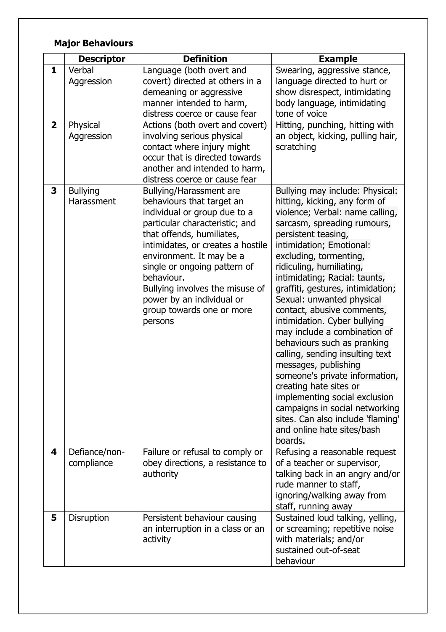# **Major Behaviours**

|                   | <b>Descriptor</b>                | <b>Definition</b>                                                                                                                                                                                                                                                                                                                                                          | <b>Example</b>                                                                                                                                                                                                                                                                                                                                                                                                                                                                                                                                                                                                                                                                                                                                      |
|-------------------|----------------------------------|----------------------------------------------------------------------------------------------------------------------------------------------------------------------------------------------------------------------------------------------------------------------------------------------------------------------------------------------------------------------------|-----------------------------------------------------------------------------------------------------------------------------------------------------------------------------------------------------------------------------------------------------------------------------------------------------------------------------------------------------------------------------------------------------------------------------------------------------------------------------------------------------------------------------------------------------------------------------------------------------------------------------------------------------------------------------------------------------------------------------------------------------|
| 1<br>$\mathbf{2}$ | Verbal<br>Aggression<br>Physical | Language (both overt and<br>covert) directed at others in a<br>demeaning or aggressive<br>manner intended to harm,<br>distress coerce or cause fear<br>Actions (both overt and covert)                                                                                                                                                                                     | Swearing, aggressive stance,<br>language directed to hurt or<br>show disrespect, intimidating<br>body language, intimidating<br>tone of voice<br>Hitting, punching, hitting with                                                                                                                                                                                                                                                                                                                                                                                                                                                                                                                                                                    |
|                   | Aggression                       | involving serious physical<br>contact where injury might<br>occur that is directed towards<br>another and intended to harm,<br>distress coerce or cause fear                                                                                                                                                                                                               | an object, kicking, pulling hair,<br>scratching                                                                                                                                                                                                                                                                                                                                                                                                                                                                                                                                                                                                                                                                                                     |
| 3                 | <b>Bullying</b><br>Harassment    | Bullying/Harassment are<br>behaviours that target an<br>individual or group due to a<br>particular characteristic; and<br>that offends, humiliates,<br>intimidates, or creates a hostile<br>environment. It may be a<br>single or ongoing pattern of<br>behaviour.<br>Bullying involves the misuse of<br>power by an individual or<br>group towards one or more<br>persons | Bullying may include: Physical:<br>hitting, kicking, any form of<br>violence; Verbal: name calling,<br>sarcasm, spreading rumours,<br>persistent teasing,<br>intimidation; Emotional:<br>excluding, tormenting,<br>ridiculing, humiliating,<br>intimidating; Racial: taunts,<br>graffiti, gestures, intimidation;<br>Sexual: unwanted physical<br>contact, abusive comments,<br>intimidation. Cyber bullying<br>may include a combination of<br>behaviours such as pranking<br>calling, sending insulting text<br>messages, publishing<br>someone's private information,<br>creating hate sites or<br>implementing social exclusion<br>campaigns in social networking<br>sites. Can also include 'flaming'<br>and online hate sites/bash<br>boards. |
| 4                 | Defiance/non-<br>compliance      | Failure or refusal to comply or<br>obey directions, a resistance to<br>authority                                                                                                                                                                                                                                                                                           | Refusing a reasonable request<br>of a teacher or supervisor,<br>talking back in an angry and/or<br>rude manner to staff,<br>ignoring/walking away from<br>staff, running away                                                                                                                                                                                                                                                                                                                                                                                                                                                                                                                                                                       |
| 5                 | Disruption                       | Persistent behaviour causing<br>an interruption in a class or an<br>activity                                                                                                                                                                                                                                                                                               | Sustained loud talking, yelling,<br>or screaming; repetitive noise<br>with materials; and/or<br>sustained out-of-seat<br>behaviour                                                                                                                                                                                                                                                                                                                                                                                                                                                                                                                                                                                                                  |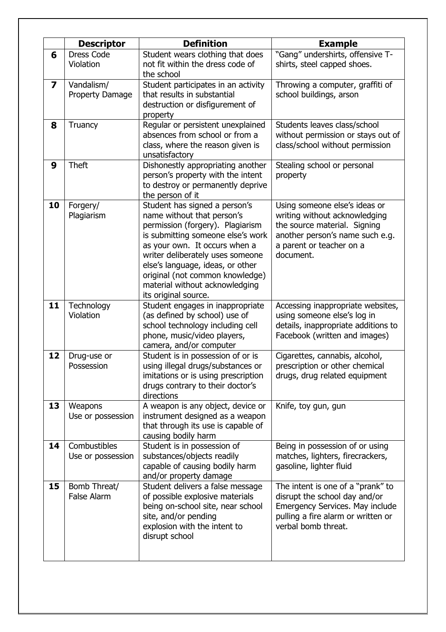|                         | <b>Descriptor</b>  | <b>Definition</b>                   | <b>Example</b>                      |
|-------------------------|--------------------|-------------------------------------|-------------------------------------|
| 6                       | <b>Dress Code</b>  | Student wears clothing that does    | "Gang" undershirts, offensive T-    |
|                         | Violation          | not fit within the dress code of    | shirts, steel capped shoes.         |
|                         |                    | the school                          |                                     |
| $\overline{\mathbf{z}}$ | Vandalism/         | Student participates in an activity | Throwing a computer, graffiti of    |
|                         | Property Damage    | that results in substantial         | school buildings, arson             |
|                         |                    | destruction or disfigurement of     |                                     |
|                         |                    | property                            |                                     |
| 8                       | Truancy            | Regular or persistent unexplained   | Students leaves class/school        |
|                         |                    | absences from school or from a      | without permission or stays out of  |
|                         |                    | class, where the reason given is    | class/school without permission     |
|                         |                    | unsatisfactory                      |                                     |
| 9                       | <b>Theft</b>       | Dishonestly appropriating another   | Stealing school or personal         |
|                         |                    | person's property with the intent   | property                            |
|                         |                    | to destroy or permanently deprive   |                                     |
|                         |                    | the person of it                    |                                     |
| 10                      | Forgery/           | Student has signed a person's       | Using someone else's ideas or       |
|                         | Plagiarism         | name without that person's          | writing without acknowledging       |
|                         |                    | permission (forgery). Plagiarism    | the source material. Signing        |
|                         |                    | is submitting someone else's work   | another person's name such e.g.     |
|                         |                    | as your own. It occurs when a       | a parent or teacher on a            |
|                         |                    | writer deliberately uses someone    | document.                           |
|                         |                    | else's language, ideas, or other    |                                     |
|                         |                    | original (not common knowledge)     |                                     |
|                         |                    | material without acknowledging      |                                     |
|                         |                    | its original source.                |                                     |
| 11                      | Technology         | Student engages in inappropriate    | Accessing inappropriate websites,   |
|                         | Violation          | (as defined by school) use of       | using someone else's log in         |
|                         |                    | school technology including cell    | details, inappropriate additions to |
|                         |                    | phone, music/video players,         | Facebook (written and images)       |
|                         |                    | camera, and/or computer             |                                     |
| 12                      | Drug-use or        | Student is in possession of or is   | Cigarettes, cannabis, alcohol,      |
|                         | Possession         | using illegal drugs/substances or   | prescription or other chemical      |
|                         |                    | imitations or is using prescription | drugs, drug related equipment       |
|                         |                    | drugs contrary to their doctor's    |                                     |
|                         |                    | directions                          |                                     |
| 13                      | Weapons            | A weapon is any object, device or   | Knife, toy gun, gun                 |
|                         | Use or possession  | instrument designed as a weapon     |                                     |
|                         |                    | that through its use is capable of  |                                     |
|                         |                    | causing bodily harm                 |                                     |
| 14                      | Combustibles       | Student is in possession of         | Being in possession of or using     |
|                         | Use or possession  | substances/objects readily          | matches, lighters, firecrackers,    |
|                         |                    | capable of causing bodily harm      | gasoline, lighter fluid             |
|                         |                    | and/or property damage              |                                     |
| 15                      | Bomb Threat/       | Student delivers a false message    | The intent is one of a "prank" to   |
|                         | <b>False Alarm</b> | of possible explosive materials     | disrupt the school day and/or       |
|                         |                    |                                     |                                     |
|                         |                    | being on-school site, near school   | Emergency Services. May include     |
|                         |                    | site, and/or pending                | pulling a fire alarm or written or  |
|                         |                    | explosion with the intent to        | verbal bomb threat.                 |
|                         |                    | disrupt school                      |                                     |
|                         |                    |                                     |                                     |
|                         |                    |                                     |                                     |